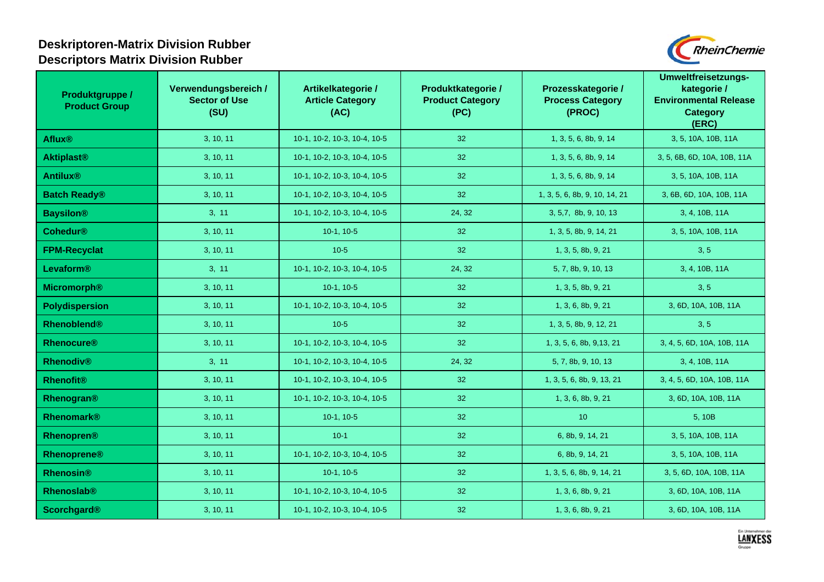## **Deskriptoren-Matrix Division Rubber Descriptors Matrix Division Rubber**



| Produktgruppe /<br><b>Product Group</b> | Verwendungsbereich /<br><b>Sector of Use</b><br>(SU) | Artikelkategorie /<br><b>Article Category</b><br>(AC) | Produktkategorie /<br><b>Product Category</b><br>(PC) | Prozesskategorie /<br><b>Process Category</b><br>(PROC) | <b>Umweltfreisetzungs-</b><br>kategorie /<br><b>Environmental Release</b><br><b>Category</b><br>(ERC) |
|-----------------------------------------|------------------------------------------------------|-------------------------------------------------------|-------------------------------------------------------|---------------------------------------------------------|-------------------------------------------------------------------------------------------------------|
| <b>Aflux®</b>                           | 3, 10, 11                                            | 10-1, 10-2, 10-3, 10-4, 10-5                          | 32 <sup>°</sup>                                       | 1, 3, 5, 6, 8b, 9, 14                                   | 3, 5, 10A, 10B, 11A                                                                                   |
| <b>Aktiplast®</b>                       | 3, 10, 11                                            | 10-1, 10-2, 10-3, 10-4, 10-5                          | 32                                                    | 1, 3, 5, 6, 8b, 9, 14                                   | 3, 5, 6B, 6D, 10A, 10B, 11A                                                                           |
| <b>Antilux®</b>                         | 3, 10, 11                                            | 10-1, 10-2, 10-3, 10-4, 10-5                          | 32 <sup>°</sup>                                       | 1, 3, 5, 6, 8b, 9, 14                                   | 3, 5, 10A, 10B, 11A                                                                                   |
| <b>Batch Ready®</b>                     | 3, 10, 11                                            | 10-1, 10-2, 10-3, 10-4, 10-5                          | 32                                                    | 1, 3, 5, 6, 8b, 9, 10, 14, 21                           | 3, 6B, 6D, 10A, 10B, 11A                                                                              |
| <b>Baysilon®</b>                        | 3, 11                                                | 10-1, 10-2, 10-3, 10-4, 10-5                          | 24, 32                                                | 3, 5,7, 8b, 9, 10, 13                                   | 3, 4, 10B, 11A                                                                                        |
| <b>Cohedur®</b>                         | 3, 10, 11                                            | $10-1, 10-5$                                          | 32 <sup>°</sup>                                       | 1, 3, 5, 8b, 9, 14, 21                                  | 3, 5, 10A, 10B, 11A                                                                                   |
| <b>FPM-Recyclat</b>                     | 3, 10, 11                                            | $10-5$                                                | 32 <sup>°</sup>                                       | 1, 3, 5, 8b, 9, 21                                      | 3, 5                                                                                                  |
| Levaform®                               | 3, 11                                                | 10-1, 10-2, 10-3, 10-4, 10-5                          | 24, 32                                                | 5, 7, 8b, 9, 10, 13                                     | 3, 4, 10B, 11A                                                                                        |
| <b>Micromorph®</b>                      | 3, 10, 11                                            | $10-1, 10-5$                                          | 32 <sup>°</sup>                                       | 1, 3, 5, 8b, 9, 21                                      | 3, 5                                                                                                  |
| Polydispersion                          | 3, 10, 11                                            | 10-1, 10-2, 10-3, 10-4, 10-5                          | 32 <sup>°</sup>                                       | 1, 3, 6, 8b, 9, 21                                      | 3, 6D, 10A, 10B, 11A                                                                                  |
| <b>Rhenoblend®</b>                      | 3, 10, 11                                            | $10-5$                                                | 32 <sup>°</sup>                                       | 1, 3, 5, 8b, 9, 12, 21                                  | 3, 5                                                                                                  |
| <b>Rhenocure®</b>                       | 3, 10, 11                                            | 10-1, 10-2, 10-3, 10-4, 10-5                          | 32 <sup>°</sup>                                       | 1, 3, 5, 6, 8b, 9, 13, 21                               | 3, 4, 5, 6D, 10A, 10B, 11A                                                                            |
| <b>Rhenodiv®</b>                        | 3, 11                                                | 10-1, 10-2, 10-3, 10-4, 10-5                          | 24, 32                                                | 5, 7, 8b, 9, 10, 13                                     | 3, 4, 10B, 11A                                                                                        |
| <b>Rhenofit®</b>                        | 3, 10, 11                                            | 10-1, 10-2, 10-3, 10-4, 10-5                          | 32                                                    | 1, 3, 5, 6, 8b, 9, 13, 21                               | 3, 4, 5, 6D, 10A, 10B, 11A                                                                            |
| Rhenogran®                              | 3, 10, 11                                            | 10-1, 10-2, 10-3, 10-4, 10-5                          | 32                                                    | 1, 3, 6, 8b, 9, 21                                      | 3, 6D, 10A, 10B, 11A                                                                                  |
| Rhenomark®                              | 3, 10, 11                                            | $10-1, 10-5$                                          | 32 <sup>°</sup>                                       | 10                                                      | 5, 10B                                                                                                |
| Rhenopren®                              | 3, 10, 11                                            | $10-1$                                                | 32 <sup>°</sup>                                       | 6, 8b, 9, 14, 21                                        | 3, 5, 10A, 10B, 11A                                                                                   |
| <b>Rhenoprene®</b>                      | 3, 10, 11                                            | 10-1, 10-2, 10-3, 10-4, 10-5                          | 32 <sup>°</sup>                                       | 6, 8b, 9, 14, 21                                        | 3, 5, 10A, 10B, 11A                                                                                   |
| <b>Rhenosin®</b>                        | 3, 10, 11                                            | $10-1, 10-5$                                          | 32 <sup>°</sup>                                       | 1, 3, 5, 6, 8b, 9, 14, 21                               | 3, 5, 6D, 10A, 10B, 11A                                                                               |
| Rhenoslab®                              | 3, 10, 11                                            | 10-1, 10-2, 10-3, 10-4, 10-5                          | 32 <sup>°</sup>                                       | 1, 3, 6, 8b, 9, 21                                      | 3, 6D, 10A, 10B, 11A                                                                                  |
| <b>Scorchgard®</b>                      | 3, 10, 11                                            | 10-1, 10-2, 10-3, 10-4, 10-5                          | 32 <sub>2</sub>                                       | 1, 3, 6, 8b, 9, 21                                      | 3, 6D, 10A, 10B, 11A                                                                                  |